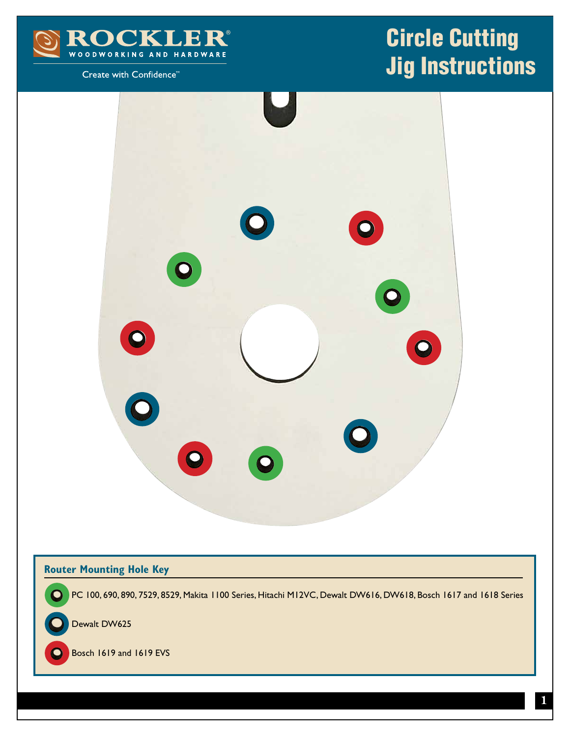

## Create with Confidence<sup>™</sup>

## Circle Cutting Jig Instructions